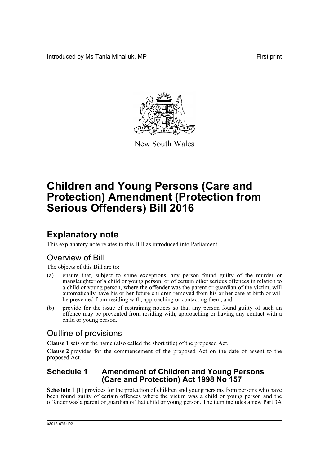Introduced by Ms Tania Mihailuk, MP **First** print



New South Wales

# **Children and Young Persons (Care and Protection) Amendment (Protection from Serious Offenders) Bill 2016**

# **Explanatory note**

This explanatory note relates to this Bill as introduced into Parliament.

## Overview of Bill

The objects of this Bill are to:

- (a) ensure that, subject to some exceptions, any person found guilty of the murder or manslaughter of a child or young person, or of certain other serious offences in relation to a child or young person, where the offender was the parent or guardian of the victim, will automatically have his or her future children removed from his or her care at birth or will be prevented from residing with, approaching or contacting them, and
- (b) provide for the issue of restraining notices so that any person found guilty of such an offence may be prevented from residing with, approaching or having any contact with a child or young person.

## Outline of provisions

**Clause 1** sets out the name (also called the short title) of the proposed Act.

**Clause 2** provides for the commencement of the proposed Act on the date of assent to the proposed Act.

### **Schedule 1 Amendment of Children and Young Persons (Care and Protection) Act 1998 No 157**

**Schedule 1 [1]** provides for the protection of children and young persons from persons who have been found guilty of certain offences where the victim was a child or young person and the offender was a parent or guardian of that child or young person. The item includes a new Part 3A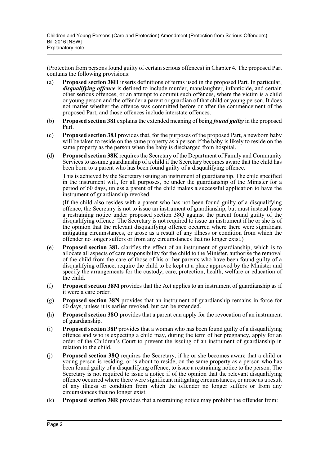(Protection from persons found guilty of certain serious offences) in Chapter 4. The proposed Part contains the following provisions:

- (a) **Proposed section 38H** inserts definitions of terms used in the proposed Part. In particular, *disqualifying offence* is defined to include murder, manslaughter, infanticide, and certain other serious offences, or an attempt to commit such offences, where the victim is a child or young person and the offender a parent or guardian of that child or young person. It does not matter whether the offence was committed before or after the commencement of the proposed Part, and those offences include interstate offences.
- (b) **Proposed section 38I** explains the extended meaning of being *found guilty* in the proposed Part.
- (c) **Proposed section 38J** provides that, for the purposes of the proposed Part, a newborn baby will be taken to reside on the same property as a person if the baby is likely to reside on the same property as the person when the baby is discharged from hospital.
- (d) **Proposed section 38K** requires the Secretary of the Department of Family and Community Services to assume guardianship of a child if the Secretary becomes aware that the child has been born to a parent who has been found guilty of a disqualifying offence.

This is achieved by the Secretary issuing an instrument of guardianship. The child specified in the instrument will, for all purposes, be under the guardianship of the Minister for a period of 60 days, unless a parent of the child makes a successful application to have the instrument of guardianship revoked.

(If the child also resides with a parent who has not been found guilty of a disqualifying offence, the Secretary is not to issue an instrument of guardianship, but must instead issue a restraining notice under proposed section 38Q against the parent found guilty of the disqualifying offence. The Secretary is not required to issue an instrument if he or she is of the opinion that the relevant disqualifying offence occurred where there were significant mitigating circumstances, or arose as a result of any illness or condition from which the offender no longer suffers or from any circumstances that no longer exist.)

- (e) **Proposed section 38L** clarifies the effect of an instrument of guardianship, which is to allocate all aspects of care responsibility for the child to the Minister, authorise the removal of the child from the care of those of his or her parents who have been found guilty of a disqualifying offence, require the child to be kept at a place approved by the Minister and specify the arrangements for the custody, care, protection, health, welfare or education of the child.
- (f) **Proposed section 38M** provides that the Act applies to an instrument of guardianship as if it were a care order.
- (g) **Proposed section 38N** provides that an instrument of guardianship remains in force for 60 days, unless it is earlier revoked, but can be extended.
- (h) **Proposed section 38O** provides that a parent can apply for the revocation of an instrument of guardianship.
- (i) **Proposed section 38P** provides that a woman who has been found guilty of a disqualifying offence and who is expecting a child may, during the term of her pregnancy, apply for an order of the Children's Court to prevent the issuing of an instrument of guardianship in relation to the child.
- (j) **Proposed section 38Q** requires the Secretary, if he or she becomes aware that a child or young person is residing, or is about to reside, on the same property as a person who has been found guilty of a disqualifying offence, to issue a restraining notice to the person. The Secretary is not required to issue a notice if of the opinion that the relevant disqualifying offence occurred where there were significant mitigating circumstances, or arose as a result of any illness or condition from which the offender no longer suffers or from any circumstances that no longer exist.
- (k) **Proposed section 38R** provides that a restraining notice may prohibit the offender from: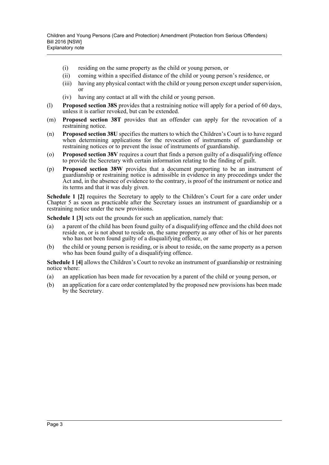- (i) residing on the same property as the child or young person, or
- (ii) coming within a specified distance of the child or young person's residence, or
- (iii) having any physical contact with the child or young person except under supervision, or
- (iv) having any contact at all with the child or young person.
- (l) **Proposed section 38S** provides that a restraining notice will apply for a period of 60 days, unless it is earlier revoked, but can be extended.
- (m) **Proposed section 38T** provides that an offender can apply for the revocation of a restraining notice.
- (n) **Proposed section 38U** specifies the matters to which the Children's Court is to have regard when determining applications for the revocation of instruments of guardianship or restraining notices or to prevent the issue of instruments of guardianship.
- (o) **Proposed section 38V** requires a court that finds a person guilty of a disqualifying offence to provide the Secretary with certain information relating to the finding of guilt.
- (p) **Proposed section 38W** provides that a document purporting to be an instrument of guardianship or restraining notice is admissible in evidence in any proceedings under the Act and, in the absence of evidence to the contrary, is proof of the instrument or notice and its terms and that it was duly given.

**Schedule 1 [2]** requires the Secretary to apply to the Children's Court for a care order under Chapter 5 as soon as practicable after the Secretary issues an instrument of guardianship or a restraining notice under the new provisions.

**Schedule 1 [3]** sets out the grounds for such an application, namely that:

- (a) a parent of the child has been found guilty of a disqualifying offence and the child does not reside on, or is not about to reside on, the same property as any other of his or her parents who has not been found guilty of a disqualifying offence, or
- (b) the child or young person is residing, or is about to reside, on the same property as a person who has been found guilty of a disqualifying offence.

**Schedule 1 [4]** allows the Children's Court to revoke an instrument of guardianship or restraining notice where:

- (a) an application has been made for revocation by a parent of the child or young person, or
- (b) an application for a care order contemplated by the proposed new provisions has been made by the Secretary.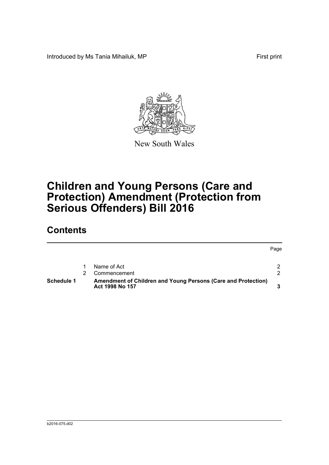Introduced by Ms Tania Mihailuk, MP First print



New South Wales

# **Children and Young Persons (Care and Protection) Amendment (Protection from Serious Offenders) Bill 2016**

# **Contents**

|            |                                                                                  | Page          |
|------------|----------------------------------------------------------------------------------|---------------|
|            | Name of Act                                                                      | $\mathcal{P}$ |
|            | Commencement                                                                     | ົ             |
| Schedule 1 | Amendment of Children and Young Persons (Care and Protection)<br>Act 1998 No 157 |               |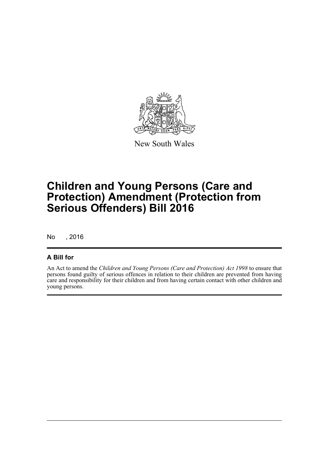

New South Wales

# **Children and Young Persons (Care and Protection) Amendment (Protection from Serious Offenders) Bill 2016**

No , 2016

### **A Bill for**

An Act to amend the *Children and Young Persons (Care and Protection) Act 1998* to ensure that persons found guilty of serious offences in relation to their children are prevented from having care and responsibility for their children and from having certain contact with other children and young persons.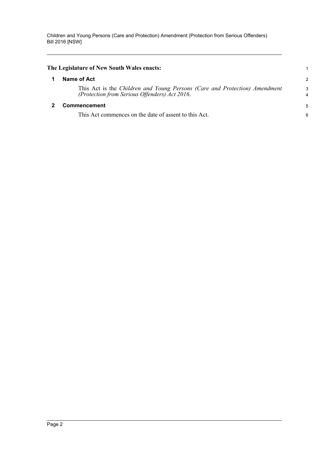<span id="page-5-1"></span><span id="page-5-0"></span>

| The Legislature of New South Wales enacts:                                                                                  |                |
|-----------------------------------------------------------------------------------------------------------------------------|----------------|
| Name of Act                                                                                                                 | $\overline{c}$ |
| This Act is the Children and Young Persons (Care and Protection) Amendment<br>(Protection from Serious Offenders) Act 2016. | 3<br>4         |
| Commencement                                                                                                                | 5              |
| This Act commences on the date of assent to this Act.                                                                       | 6              |
|                                                                                                                             |                |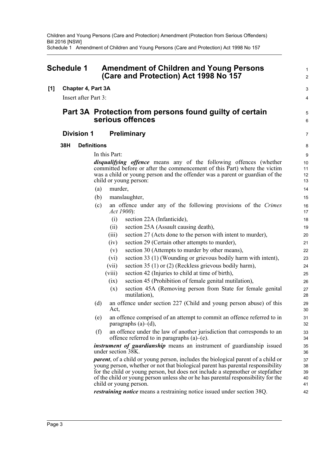Children and Young Persons (Care and Protection) Amendment (Protection from Serious Offenders) Bill 2016 [NSW] Schedule 1 Amendment of Children and Young Persons (Care and Protection) Act 1998 No 157

<span id="page-6-0"></span>

| <b>Schedule 1</b> |     |                                                                             | <b>Amendment of Children and Young Persons</b><br>(Care and Protection) Act 1998 No 157 |                    |                                                                                                                                                                                                                                                                                                                                                                                                                                                                |                                  |  |
|-------------------|-----|-----------------------------------------------------------------------------|-----------------------------------------------------------------------------------------|--------------------|----------------------------------------------------------------------------------------------------------------------------------------------------------------------------------------------------------------------------------------------------------------------------------------------------------------------------------------------------------------------------------------------------------------------------------------------------------------|----------------------------------|--|
| [1]               |     |                                                                             | Chapter 4, Part 3A                                                                      |                    |                                                                                                                                                                                                                                                                                                                                                                                                                                                                | 3                                |  |
|                   |     | Insert after Part 3:                                                        |                                                                                         |                    |                                                                                                                                                                                                                                                                                                                                                                                                                                                                | 4                                |  |
|                   |     | Part 3A Protection from persons found guilty of certain<br>serious offences |                                                                                         |                    | $\overline{5}$<br>6                                                                                                                                                                                                                                                                                                                                                                                                                                            |                                  |  |
|                   |     | <b>Division 1</b>                                                           |                                                                                         |                    | <b>Preliminary</b>                                                                                                                                                                                                                                                                                                                                                                                                                                             | $\overline{7}$                   |  |
|                   | 38H |                                                                             | <b>Definitions</b>                                                                      |                    |                                                                                                                                                                                                                                                                                                                                                                                                                                                                | 8                                |  |
|                   |     |                                                                             | In this Part:                                                                           |                    |                                                                                                                                                                                                                                                                                                                                                                                                                                                                | 9                                |  |
|                   |     |                                                                             |                                                                                         |                    | <i>disqualifying offence</i> means any of the following offences (whether<br>committed before or after the commencement of this Part) where the victim<br>was a child or young person and the offender was a parent or guardian of the<br>child or young person:                                                                                                                                                                                               | 10<br>11<br>12<br>13             |  |
|                   |     |                                                                             | (a)                                                                                     | murder,            |                                                                                                                                                                                                                                                                                                                                                                                                                                                                | 14                               |  |
|                   |     |                                                                             | (b)                                                                                     |                    | manslaughter,                                                                                                                                                                                                                                                                                                                                                                                                                                                  | 15                               |  |
|                   |     |                                                                             | (c)                                                                                     | <i>Act 1900</i> ): | an offence under any of the following provisions of the Crimes                                                                                                                                                                                                                                                                                                                                                                                                 | 16<br>17                         |  |
|                   |     |                                                                             |                                                                                         | (i)                | section 22A (Infanticide),                                                                                                                                                                                                                                                                                                                                                                                                                                     | 18                               |  |
|                   |     |                                                                             |                                                                                         | (ii)               | section 25A (Assault causing death),                                                                                                                                                                                                                                                                                                                                                                                                                           | 19                               |  |
|                   |     |                                                                             |                                                                                         | (iii)              | section 27 (Acts done to the person with intent to murder),                                                                                                                                                                                                                                                                                                                                                                                                    | 20                               |  |
|                   |     |                                                                             |                                                                                         | (iv)               | section 29 (Certain other attempts to murder),                                                                                                                                                                                                                                                                                                                                                                                                                 | 21                               |  |
|                   |     |                                                                             |                                                                                         | (v)                | section 30 (Attempts to murder by other means),                                                                                                                                                                                                                                                                                                                                                                                                                | 22                               |  |
|                   |     |                                                                             |                                                                                         | (vi)               | section 33 (1) (Wounding or grievous bodily harm with intent),                                                                                                                                                                                                                                                                                                                                                                                                 | 23                               |  |
|                   |     |                                                                             |                                                                                         | (vii)              | section 35 (1) or (2) (Reckless grievous bodily harm),                                                                                                                                                                                                                                                                                                                                                                                                         | 24                               |  |
|                   |     |                                                                             |                                                                                         | (viii)             | section 42 (Injuries to child at time of birth),                                                                                                                                                                                                                                                                                                                                                                                                               | 25                               |  |
|                   |     |                                                                             |                                                                                         | (ix)               | section 45 (Prohibition of female genital mutilation),                                                                                                                                                                                                                                                                                                                                                                                                         | 26                               |  |
|                   |     |                                                                             |                                                                                         | (x)                | section 45A (Removing person from State for female genital<br>mutilation),                                                                                                                                                                                                                                                                                                                                                                                     | 27<br>28                         |  |
|                   |     |                                                                             | (d)                                                                                     | Act,               | an offence under section 227 (Child and young person abuse) of this                                                                                                                                                                                                                                                                                                                                                                                            | 29<br>30                         |  |
|                   |     |                                                                             | (e)                                                                                     |                    | an offence comprised of an attempt to commit an offence referred to in<br>paragraphs $(a)$ – $(d)$ ,                                                                                                                                                                                                                                                                                                                                                           | 31<br>32                         |  |
|                   |     |                                                                             | (f)                                                                                     |                    | an offence under the law of another jurisdiction that corresponds to an<br>offence referred to in paragraphs (a)–(e).                                                                                                                                                                                                                                                                                                                                          | 33<br>34                         |  |
|                   |     |                                                                             |                                                                                         |                    | instrument of guardianship means an instrument of guardianship issued<br>under section 38K.                                                                                                                                                                                                                                                                                                                                                                    | 35<br>36                         |  |
|                   |     |                                                                             |                                                                                         |                    | <i>parent</i> , of a child or young person, includes the biological parent of a child or<br>young person, whether or not that biological parent has parental responsibility<br>for the child or young person, but does not include a stepmother or stepfather<br>of the child or young person unless she or he has parental responsibility for the<br>child or young person.<br><i>restraining notice</i> means a restraining notice issued under section 38Q. | 37<br>38<br>39<br>40<br>41<br>42 |  |
|                   |     |                                                                             |                                                                                         |                    |                                                                                                                                                                                                                                                                                                                                                                                                                                                                |                                  |  |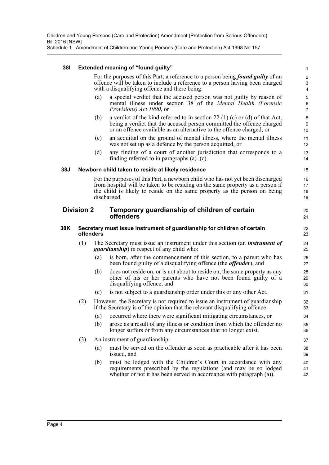Schedule 1 Amendment of Children and Young Persons (Care and Protection) Act 1998 No 157

#### **38I Extended meaning of "found guilty"**

For the purposes of this Part, a reference to a person being *found guilty* of an offence will be taken to include a reference to a person having been charged with a disqualifying offence and there being:

20 21

- (a) a special verdict that the accused person was not guilty by reason of mental illness under section 38 of the *Mental Health (Forensic Provisions) Act 1990*, or
- (b) a verdict of the kind referred to in section 22 (1) (c) or (d) of that Act, being a verdict that the accused person committed the offence charged or an offence available as an alternative to the offence charged, or
- (c) an acquittal on the ground of mental illness, where the mental illness was not set up as a defence by the person acquitted, or
- (d) any finding of a court of another jurisdiction that corresponds to a finding referred to in paragraphs  $(a)$ – $(c)$ .

#### **38J Newborn child taken to reside at likely residence**

For the purposes of this Part, a newborn child who has not yet been discharged from hospital will be taken to be residing on the same property as a person if the child is likely to reside on the same property as the person on being discharged.

#### **Division 2 Temporary guardianship of children of certain offenders**

#### **38K Secretary must issue instrument of guardianship for children of certain offenders**

- (1) The Secretary must issue an instrument under this section (an *instrument of guardianship*) in respect of any child who:
	- (a) is born, after the commencement of this section, to a parent who has been found guilty of a disqualifying offence (the *offender*), and
	- (b) does not reside on, or is not about to reside on, the same property as any other of his or her parents who have not been found guilty of a disqualifying offence, and
	- (c) is not subject to a guardianship order under this or any other Act.
- (2) However, the Secretary is not required to issue an instrument of guardianship if the Secretary is of the opinion that the relevant disqualifying offence:
	- (a) occurred where there were significant mitigating circumstances, or
	- (b) arose as a result of any illness or condition from which the offender no longer suffers or from any circumstances that no longer exist.
- (3) An instrument of guardianship:
	- (a) must be served on the offender as soon as practicable after it has been issued, and
	- (b) must be lodged with the Children's Court in accordance with any requirements prescribed by the regulations (and may be so lodged whether or not it has been served in accordance with paragraph (a)).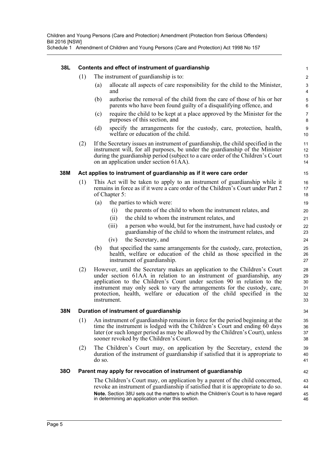|  |  |  |  | Schedule 1 Amendment of Children and Young Persons (Care and Protection) Act 1998 No 157 |  |
|--|--|--|--|------------------------------------------------------------------------------------------|--|
|--|--|--|--|------------------------------------------------------------------------------------------|--|

| 38L        |                                              | Contents and effect of instrument of guardianship                                                                                                                                                                                                                                                                                                                                                 | 1                                |  |  |  |  |  |
|------------|----------------------------------------------|---------------------------------------------------------------------------------------------------------------------------------------------------------------------------------------------------------------------------------------------------------------------------------------------------------------------------------------------------------------------------------------------------|----------------------------------|--|--|--|--|--|
|            | (1)<br>The instrument of guardianship is to: |                                                                                                                                                                                                                                                                                                                                                                                                   |                                  |  |  |  |  |  |
|            |                                              | allocate all aspects of care responsibility for the child to the Minister,<br>(a)<br>and                                                                                                                                                                                                                                                                                                          | 3<br>4                           |  |  |  |  |  |
|            |                                              | authorise the removal of the child from the care of those of his or her<br>(b)<br>parents who have been found guilty of a disqualifying offence, and                                                                                                                                                                                                                                              | 5<br>6                           |  |  |  |  |  |
|            |                                              | require the child to be kept at a place approved by the Minister for the<br>(c)<br>purposes of this section, and                                                                                                                                                                                                                                                                                  | 7<br>8                           |  |  |  |  |  |
|            |                                              | specify the arrangements for the custody, care, protection, health,<br>(d)<br>welfare or education of the child.                                                                                                                                                                                                                                                                                  | 9<br>10                          |  |  |  |  |  |
|            | (2)                                          | If the Secretary issues an instrument of guardianship, the child specified in the<br>instrument will, for all purposes, be under the guardianship of the Minister<br>during the guardianship period (subject to a care order of the Children's Court<br>on an application under section 61AA).                                                                                                    | 11<br>12<br>13<br>14             |  |  |  |  |  |
| 38M        |                                              | Act applies to instrument of guardianship as if it were care order                                                                                                                                                                                                                                                                                                                                | 15                               |  |  |  |  |  |
|            | (1)                                          | This Act will be taken to apply to an instrument of guardianship while it<br>remains in force as if it were a care order of the Children's Court under Part 2<br>of Chapter 5:                                                                                                                                                                                                                    | 16<br>17<br>18                   |  |  |  |  |  |
|            |                                              | the parties to which were:<br>(a)                                                                                                                                                                                                                                                                                                                                                                 | 19                               |  |  |  |  |  |
|            |                                              | the parents of the child to whom the instrument relates, and<br>(i)                                                                                                                                                                                                                                                                                                                               | 20                               |  |  |  |  |  |
|            |                                              | the child to whom the instrument relates, and<br>(ii)                                                                                                                                                                                                                                                                                                                                             | 21                               |  |  |  |  |  |
|            |                                              | a person who would, but for the instrument, have had custody or<br>(iii)<br>guardianship of the child to whom the instrument relates, and                                                                                                                                                                                                                                                         | 22<br>23                         |  |  |  |  |  |
|            |                                              | (iv)<br>the Secretary, and                                                                                                                                                                                                                                                                                                                                                                        | 24                               |  |  |  |  |  |
|            |                                              | that specified the same arrangements for the custody, care, protection,<br>(b)<br>health, welfare or education of the child as those specified in the<br>instrument of guardianship.                                                                                                                                                                                                              | 25<br>26<br>27                   |  |  |  |  |  |
|            | (2)                                          | However, until the Secretary makes an application to the Children's Court<br>under section 61AA in relation to an instrument of guardianship, any<br>application to the Children's Court under section 90 in relation to the<br>instrument may only seek to vary the arrangements for the custody, care,<br>protection, health, welfare or education of the child specified in the<br>instrument. | 28<br>29<br>30<br>31<br>32<br>33 |  |  |  |  |  |
| 38N        |                                              | Duration of instrument of guardianship                                                                                                                                                                                                                                                                                                                                                            | 34                               |  |  |  |  |  |
|            | (1)                                          | An instrument of guardianship remains in force for the period beginning at the                                                                                                                                                                                                                                                                                                                    | 35                               |  |  |  |  |  |
|            |                                              | time the instrument is lodged with the Children's Court and ending 60 days<br>later (or such longer period as may be allowed by the Children's Court), unless<br>sooner revoked by the Children's Court.                                                                                                                                                                                          | 36<br>37<br>38                   |  |  |  |  |  |
|            | (2)                                          | The Children's Court may, on application by the Secretary, extend the<br>duration of the instrument of guardianship if satisfied that it is appropriate to<br>do so.                                                                                                                                                                                                                              | 39<br>40<br>41                   |  |  |  |  |  |
| <b>380</b> |                                              | Parent may apply for revocation of instrument of guardianship                                                                                                                                                                                                                                                                                                                                     | 42                               |  |  |  |  |  |
|            |                                              | The Children's Court may, on application by a parent of the child concerned,                                                                                                                                                                                                                                                                                                                      | 43                               |  |  |  |  |  |
|            |                                              | revoke an instrument of guardianship if satisfied that it is appropriate to do so.                                                                                                                                                                                                                                                                                                                | 44                               |  |  |  |  |  |
|            |                                              | Note. Section 38U sets out the matters to which the Children's Court is to have regard<br>in determining an application under this section.                                                                                                                                                                                                                                                       | 45<br>46                         |  |  |  |  |  |
|            |                                              |                                                                                                                                                                                                                                                                                                                                                                                                   |                                  |  |  |  |  |  |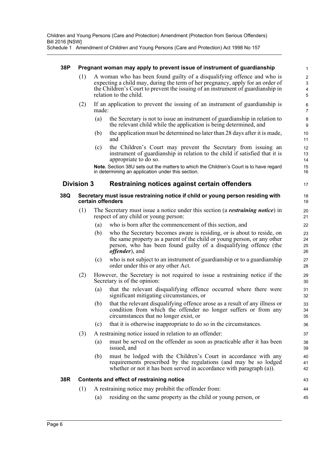Schedule 1 Amendment of Children and Young Persons (Care and Protection) Act 1998 No 157

#### **38P Pregnant woman may apply to prevent issue of instrument of guardianship**

(1) A woman who has been found guilty of a disqualifying offence and who is expecting a child may, during the term of her pregnancy, apply for an order of the Children's Court to prevent the issuing of an instrument of guardianship in relation to the child.

43 44 45

- (2) If an application to prevent the issuing of an instrument of guardianship is made:
	- (a) the Secretary is not to issue an instrument of guardianship in relation to the relevant child while the application is being determined, and
	- (b) the application must be determined no later than 28 days after it is made, and
	- (c) the Children's Court may prevent the Secretary from issuing an instrument of guardianship in relation to the child if satisfied that it is appropriate to do so.

**Note.** Section 38U sets out the matters to which the Children's Court is to have regard in determining an application under this section.

### **Division 3 Restraining notices against certain offenders**

#### **38Q Secretary must issue restraining notice if child or young person residing with certain offenders**

- (1) The Secretary must issue a notice under this section (a *restraining notice*) in respect of any child or young person:
	- (a) who is born after the commencement of this section, and
	- (b) who the Secretary becomes aware is residing, or is about to reside, on the same property as a parent of the child or young person, or any other person, who has been found guilty of a disqualifying offence (the *offender*), and
	- (c) who is not subject to an instrument of guardianship or to a guardianship order under this or any other Act.
- (2) However, the Secretary is not required to issue a restraining notice if the Secretary is of the opinion:
	- (a) that the relevant disqualifying offence occurred where there were significant mitigating circumstances, or
	- (b) that the relevant disqualifying offence arose as a result of any illness or condition from which the offender no longer suffers or from any circumstances that no longer exist, or
	- (c) that it is otherwise inappropriate to do so in the circumstances.
- (3) A restraining notice issued in relation to an offender:
	- (a) must be served on the offender as soon as practicable after it has been issued, and
	- (b) must be lodged with the Children's Court in accordance with any requirements prescribed by the regulations (and may be so lodged whether or not it has been served in accordance with paragraph (a)).

#### **38R Contents and effect of restraining notice**

- (1) A restraining notice may prohibit the offender from:
	- (a) residing on the same property as the child or young person, or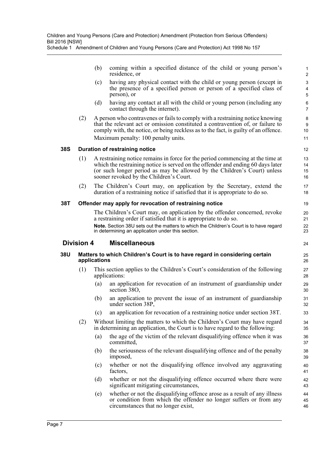|  |               |  | coming within a specified distance of the child or young person's |  |  |  |  |
|--|---------------|--|-------------------------------------------------------------------|--|--|--|--|
|  | residence, or |  |                                                                   |  |  |  |  |

(c) having any physical contact with the child or young person (except in the presence of a specified person or person of a specified class of person), or

24

- (d) having any contact at all with the child or young person (including any contact through the internet).
- (2) A person who contravenes or fails to comply with a restraining notice knowing that the relevant act or omission constituted a contravention of, or failure to comply with, the notice, or being reckless as to the fact, is guilty of an offence. Maximum penalty: 100 penalty units.

### **38S Duration of restraining notice**

- (1) A restraining notice remains in force for the period commencing at the time at which the restraining notice is served on the offender and ending 60 days later (or such longer period as may be allowed by the Children's Court) unless sooner revoked by the Children's Court.
- (2) The Children's Court may, on application by the Secretary, extend the duration of a restraining notice if satisfied that it is appropriate to do so.

### **38T Offender may apply for revocation of restraining notice**

The Children's Court may, on application by the offender concerned, revoke a restraining order if satisfied that it is appropriate to do so. **Note.** Section 38U sets out the matters to which the Children's Court is to have regard in determining an application under this section.

### **Division 4 Miscellaneous**

#### **38U Matters to which Children's Court is to have regard in considering certain applications**

- (1) This section applies to the Children's Court's consideration of the following applications:
	- (a) an application for revocation of an instrument of guardianship under section 38O,
	- (b) an application to prevent the issue of an instrument of guardianship under section 38P,
	- (c) an application for revocation of a restraining notice under section 38T.
- (2) Without limiting the matters to which the Children's Court may have regard in determining an application, the Court is to have regard to the following:
	- (a) the age of the victim of the relevant disqualifying offence when it was committed,
	- (b) the seriousness of the relevant disqualifying offence and of the penalty imposed,
	- (c) whether or not the disqualifying offence involved any aggravating factors,
	- (d) whether or not the disqualifying offence occurred where there were significant mitigating circumstances,
	- (e) whether or not the disqualifying offence arose as a result of any illness or condition from which the offender no longer suffers or from any circumstances that no longer exist,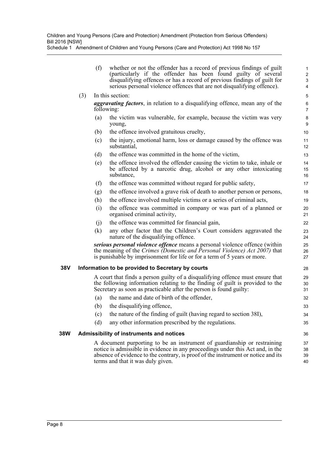|     |     | (f) | whether or not the offender has a record of previous findings of guilt<br>(particularly if the offender has been found guilty of several<br>disqualifying offences or has a record of previous findings of guilt for<br>serious personal violence offences that are not disqualifying offence). | $\mathbf{1}$<br>2<br>3<br>4 |
|-----|-----|-----|-------------------------------------------------------------------------------------------------------------------------------------------------------------------------------------------------------------------------------------------------------------------------------------------------|-----------------------------|
|     | (3) |     | In this section:                                                                                                                                                                                                                                                                                | $\overline{5}$              |
|     |     |     | <i>aggravating factors</i> , in relation to a disqualifying offence, mean any of the<br>following:                                                                                                                                                                                              | $\,6\,$<br>$\overline{7}$   |
|     |     | (a) | the victim was vulnerable, for example, because the victim was very<br>young,                                                                                                                                                                                                                   | $\bf 8$<br>$\boldsymbol{9}$ |
|     |     | (b) | the offence involved gratuitous cruelty,                                                                                                                                                                                                                                                        | 10                          |
|     |     | (c) | the injury, emotional harm, loss or damage caused by the offence was<br>substantial,                                                                                                                                                                                                            | 11<br>12                    |
|     |     | (d) | the offence was committed in the home of the victim,                                                                                                                                                                                                                                            | 13                          |
|     |     | (e) | the offence involved the offender causing the victim to take, inhale or<br>be affected by a narcotic drug, alcohol or any other intoxicating<br>substance,                                                                                                                                      | 14<br>15<br>16              |
|     |     | (f) | the offence was committed without regard for public safety,                                                                                                                                                                                                                                     | 17                          |
|     |     | (g) | the offence involved a grave risk of death to another person or persons,                                                                                                                                                                                                                        | 18                          |
|     |     | (h) | the offence involved multiple victims or a series of criminal acts,                                                                                                                                                                                                                             | 19                          |
|     |     | (i) | the offence was committed in company or was part of a planned or<br>organised criminal activity,                                                                                                                                                                                                | 20<br>21                    |
|     |     | (j) | the offence was committed for financial gain,                                                                                                                                                                                                                                                   | 22                          |
|     |     | (k) | any other factor that the Children's Court considers aggravated the<br>nature of the disqualifying offence.                                                                                                                                                                                     | 23<br>24                    |
|     |     |     | serious personal violence offence means a personal violence offence (within<br>the meaning of the Crimes (Domestic and Personal Violence) Act 2007) that<br>is punishable by imprisonment for life or for a term of 5 years or more.                                                            | 25<br>26<br>27              |
| 38V |     |     | Information to be provided to Secretary by courts                                                                                                                                                                                                                                               | 28                          |
|     |     |     | A court that finds a person guilty of a disqualifying offence must ensure that<br>the following information relating to the finding of guilt is provided to the<br>Secretary as soon as practicable after the person is found guilty:                                                           | 29<br>30<br>31              |
|     |     | (a) | the name and date of birth of the offender,                                                                                                                                                                                                                                                     | 32                          |
|     |     | (b) | the disqualifying offence,                                                                                                                                                                                                                                                                      | 33                          |
|     |     | (c) | the nature of the finding of guilt (having regard to section 38I),                                                                                                                                                                                                                              | 34                          |

- (c) the nature of the finding of guilt (having regard to section 38I),
- (d) any other information prescribed by the regulations.

### **38W Admissibility of instruments and notices**

A document purporting to be an instrument of guardianship or restraining notice is admissible in evidence in any proceedings under this Act and, in the absence of evidence to the contrary, is proof of the instrument or notice and its terms and that it was duly given.

35